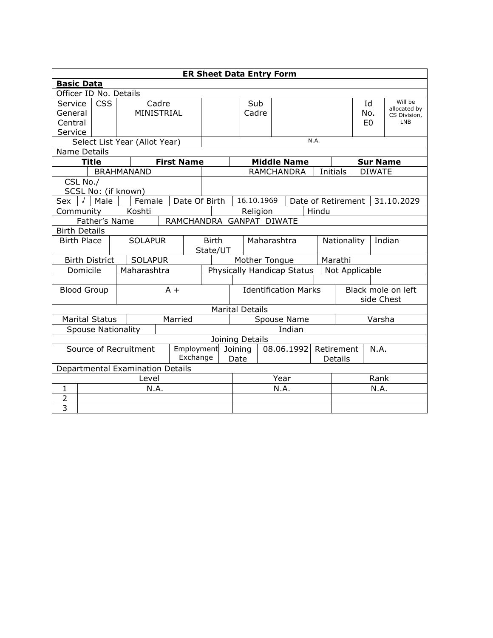|                                                                                       |              |                       |       |                                  |  |                   |                             |                                              | <b>ER Sheet Data Entry Form</b> |             |            |                    |            |                    |                |               |                         |
|---------------------------------------------------------------------------------------|--------------|-----------------------|-------|----------------------------------|--|-------------------|-----------------------------|----------------------------------------------|---------------------------------|-------------|------------|--------------------|------------|--------------------|----------------|---------------|-------------------------|
| <b>Basic Data</b>                                                                     |              |                       |       |                                  |  |                   |                             |                                              |                                 |             |            |                    |            |                    |                |               |                         |
| Officer ID No. Details                                                                |              |                       |       |                                  |  |                   |                             |                                              |                                 |             |            |                    |            |                    |                |               |                         |
| Service                                                                               |              | <b>CSS</b>            | Cadre |                                  |  |                   |                             |                                              |                                 | Sub         |            |                    |            |                    | Id             |               | Will be<br>allocated by |
| General                                                                               |              |                       |       | MINISTRIAL                       |  |                   |                             |                                              | Cadre                           |             |            |                    |            | No.                |                | CS Division,  |                         |
| Central                                                                               |              |                       |       |                                  |  |                   |                             |                                              |                                 |             |            |                    |            |                    | E <sub>0</sub> |               | <b>LNB</b>              |
| Service                                                                               |              |                       |       |                                  |  |                   |                             |                                              |                                 |             |            |                    |            |                    |                |               |                         |
|                                                                                       |              |                       |       | Select List Year (Allot Year)    |  |                   |                             |                                              |                                 |             |            |                    | N.A.       |                    |                |               |                         |
| Name Details                                                                          |              |                       |       |                                  |  |                   |                             |                                              |                                 |             |            |                    |            |                    |                |               |                         |
|                                                                                       | <b>Title</b> |                       |       |                                  |  | <b>First Name</b> |                             |                                              |                                 |             |            | <b>Middle Name</b> |            |                    |                |               | <b>Sur Name</b>         |
|                                                                                       |              |                       |       | <b>BRAHMANAND</b>                |  |                   |                             |                                              |                                 |             |            | <b>RAMCHANDRA</b>  |            | Initials           |                | <b>DIWATE</b> |                         |
| CSL No./                                                                              |              |                       |       |                                  |  |                   |                             |                                              |                                 |             |            |                    |            |                    |                |               |                         |
|                                                                                       |              | Male                  |       | SCSL No: (if known)<br>Female    |  | Date Of Birth     |                             |                                              | 16.10.1969                      |             |            |                    |            | Date of Retirement |                |               |                         |
| Sex                                                                                   |              |                       |       |                                  |  |                   |                             |                                              |                                 |             |            |                    |            |                    |                |               | 31.10.2029              |
| Koshti<br>Hindu<br>Community<br>Religion<br>Father's Name<br>RAMCHANDRA GANPAT DIWATE |              |                       |       |                                  |  |                   |                             |                                              |                                 |             |            |                    |            |                    |                |               |                         |
| <b>Birth Details</b>                                                                  |              |                       |       |                                  |  |                   |                             |                                              |                                 |             |            |                    |            |                    |                |               |                         |
| <b>Birth Place</b>                                                                    |              |                       |       | <b>SOLAPUR</b>                   |  |                   | <b>Birth</b>                |                                              |                                 |             |            |                    |            | Nationality        |                |               | Indian                  |
|                                                                                       |              |                       |       |                                  |  |                   | State/UT                    |                                              |                                 | Maharashtra |            |                    |            |                    |                |               |                         |
|                                                                                       |              | <b>Birth District</b> |       | <b>SOLAPUR</b>                   |  |                   |                             | Marathi<br>Mother Tongue                     |                                 |             |            |                    |            |                    |                |               |                         |
|                                                                                       | Domicile     |                       |       | Maharashtra                      |  |                   |                             | Physically Handicap Status<br>Not Applicable |                                 |             |            |                    |            |                    |                |               |                         |
|                                                                                       |              |                       |       |                                  |  |                   |                             |                                              |                                 |             |            |                    |            |                    |                |               |                         |
| <b>Blood Group</b>                                                                    |              |                       |       |                                  |  | $A +$             | <b>Identification Marks</b> |                                              |                                 |             |            | Black mole on left |            |                    |                |               |                         |
|                                                                                       |              |                       |       |                                  |  |                   | side Chest                  |                                              |                                 |             |            |                    |            |                    |                |               |                         |
|                                                                                       |              |                       |       |                                  |  |                   |                             |                                              | <b>Marital Details</b>          |             |            |                    |            |                    |                |               |                         |
|                                                                                       |              | <b>Marital Status</b> |       |                                  |  | Married           | Spouse Name                 |                                              |                                 |             | Varsha     |                    |            |                    |                |               |                         |
|                                                                                       |              |                       |       | <b>Spouse Nationality</b>        |  |                   |                             |                                              |                                 |             |            | Indian             |            |                    |                |               |                         |
|                                                                                       |              |                       |       |                                  |  |                   |                             |                                              | Joining Details                 |             |            |                    |            |                    |                |               |                         |
| Source of Recruitment<br>Employment                                                   |              |                       |       |                                  |  |                   |                             | Joining                                      |                                 |             | 08.06.1992 |                    | Retirement |                    | N.A.           |               |                         |
|                                                                                       |              |                       |       |                                  |  | Exchange          |                             |                                              | Date                            |             |            |                    |            | Details            |                |               |                         |
|                                                                                       |              |                       |       | Departmental Examination Details |  |                   |                             |                                              |                                 |             |            |                    |            |                    |                |               |                         |
|                                                                                       | Level        |                       |       |                                  |  |                   | Year                        |                                              |                                 |             | Rank       |                    |            |                    |                |               |                         |
| 1                                                                                     |              |                       |       | N.A.                             |  |                   |                             |                                              | N.A.                            |             |            |                    | N.A.       |                    |                |               |                         |
| $\overline{2}$                                                                        |              |                       |       |                                  |  |                   |                             |                                              |                                 |             |            |                    |            |                    |                |               |                         |
| 3                                                                                     |              |                       |       |                                  |  |                   |                             |                                              |                                 |             |            |                    |            |                    |                |               |                         |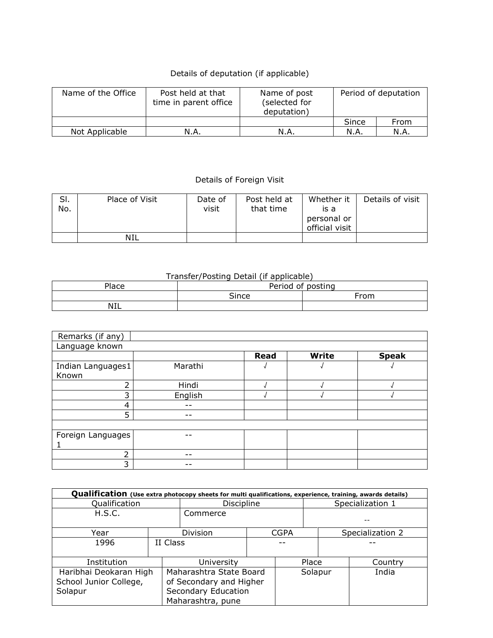## Details of deputation (if applicable)

| Name of the Office | Post held at that<br>time in parent office | Name of post<br>(selected for<br>deputation) | Period of deputation |      |  |  |
|--------------------|--------------------------------------------|----------------------------------------------|----------------------|------|--|--|
|                    |                                            |                                              | Since                | From |  |  |
| Not Applicable     | N.A.                                       | N.A                                          | N.A.                 | N.A. |  |  |

## Details of Foreign Visit

| SI. | Place of Visit | Date of | Post held at | Whether it     | Details of visit |
|-----|----------------|---------|--------------|----------------|------------------|
| No. |                | visit   | that time    | is a           |                  |
|     |                |         |              | personal or    |                  |
|     |                |         |              | official visit |                  |
|     | NIL            |         |              |                |                  |

## Transfer/Posting Detail (if applicable)

| Place | Period<br>of posting |      |  |  |  |  |
|-------|----------------------|------|--|--|--|--|
|       | <b>Cince</b>         | From |  |  |  |  |
| NIL   |                      |      |  |  |  |  |

| Remarks (if any)  |         |             |       |              |
|-------------------|---------|-------------|-------|--------------|
| Language known    |         |             |       |              |
|                   |         | <b>Read</b> | Write | <b>Speak</b> |
| Indian Languages1 | Marathi |             |       |              |
| Known             |         |             |       |              |
| ำ                 | Hindi   |             |       |              |
| 3                 | English |             |       |              |
| 4                 |         |             |       |              |
| 5                 | - -     |             |       |              |
|                   |         |             |       |              |
| Foreign Languages | --      |             |       |              |
|                   |         |             |       |              |
| ำ                 | --      |             |       |              |
| 3                 | --      |             |       |              |

| Qualification (Use extra photocopy sheets for multi qualifications, experience, training, awards details) |          |                                                                                                |  |         |  |                  |                  |  |  |  |
|-----------------------------------------------------------------------------------------------------------|----------|------------------------------------------------------------------------------------------------|--|---------|--|------------------|------------------|--|--|--|
| Qualification                                                                                             |          | Discipline                                                                                     |  |         |  | Specialization 1 |                  |  |  |  |
| H.S.C.                                                                                                    |          | Commerce                                                                                       |  |         |  |                  |                  |  |  |  |
| Year                                                                                                      |          | Division<br><b>CGPA</b>                                                                        |  |         |  |                  | Specialization 2 |  |  |  |
| 1996                                                                                                      | II Class |                                                                                                |  |         |  |                  |                  |  |  |  |
| Institution                                                                                               |          | University                                                                                     |  | Place   |  |                  | Country          |  |  |  |
| Haribhai Deokaran High<br>School Junior College,<br>Solapur                                               |          | Maharashtra State Board<br>of Secondary and Higher<br>Secondary Education<br>Maharashtra, pune |  | Solapur |  |                  | India            |  |  |  |